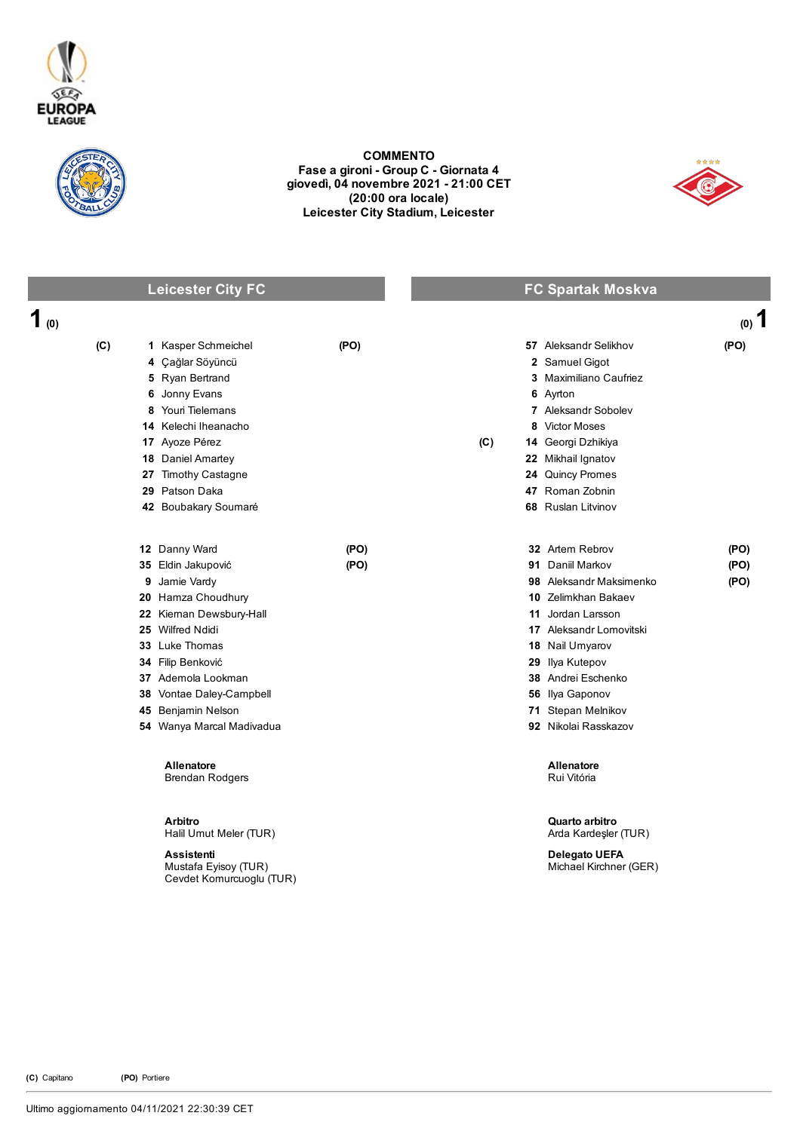



COMMENTO Fase a gironi - Group C - Giornata 4 giovedì, 04 novembre 2021 21:00 CET (20:00 ora locale) Leicester City Stadium, Leicester



## Leicester City FC **FC** Spartak Moskva

| 1(0) |                                                                       |      |     |                                                | $(0)$ 1 |
|------|-----------------------------------------------------------------------|------|-----|------------------------------------------------|---------|
| (C)  | 1 Kasper Schmeichel                                                   | (PO) |     | 57 Aleksandr Selikhov                          | (PO)    |
|      | 4 Çağlar Söyüncü                                                      |      |     | 2 Samuel Gigot                                 |         |
|      | 5 Ryan Bertrand                                                       |      |     | 3 Maximiliano Caufriez                         |         |
|      | 6 Jonny Evans                                                         |      |     | 6 Ayrton                                       |         |
| 8    | Youri Tielemans                                                       |      |     | 7 Aleksandr Sobolev                            |         |
|      | 14 Kelechi Iheanacho                                                  |      |     | 8 Victor Moses                                 |         |
|      | 17 Ayoze Pérez                                                        |      | (C) | 14 Georgi Dzhikiya                             |         |
|      | 18 Daniel Amartey                                                     |      |     | 22 Mikhail Ignatov                             |         |
|      | 27 Timothy Castagne                                                   |      |     | 24 Quincy Promes                               |         |
|      | 29 Patson Daka                                                        |      |     | 47 Roman Zobnin                                |         |
|      | 42 Boubakary Soumaré                                                  |      |     | 68 Ruslan Litvinov                             |         |
|      | 12 Danny Ward                                                         | (PO) |     | 32 Artem Rebrov                                | (PO)    |
|      | 35 Eldin Jakupović                                                    | (PO) |     | 91 Daniil Markov                               | (PO)    |
|      | 9 Jamie Vardy                                                         |      |     | 98 Aleksandr Maksimenko                        | (PO)    |
|      | 20 Hamza Choudhury                                                    |      |     | 10 Zelimkhan Bakaev                            |         |
|      | 22 Kieman Dewsbury-Hall                                               |      |     | 11 Jordan Larsson                              |         |
|      | 25 Wilfred Ndidi                                                      |      |     | 17 Aleksandr Lomovitski                        |         |
|      | 33 Luke Thomas                                                        |      |     | 18 Nail Umyarov                                |         |
|      | 34 Filip Benković                                                     |      |     | 29 Ilya Kutepov                                |         |
|      | 37 Ademola Lookman                                                    |      |     | 38 Andrei Eschenko                             |         |
|      | 38 Vontae Daley-Campbell                                              |      |     | 56 Ilya Gaponov                                |         |
|      | 45 Benjamin Nelson                                                    |      |     | 71 Stepan Melnikov                             |         |
|      | 54 Wanya Marcal Madivadua                                             |      |     | 92 Nikolai Rasskazov                           |         |
|      | <b>Allenatore</b><br><b>Brendan Rodgers</b>                           |      |     | Allenatore<br>Rui Vitória                      |         |
|      | Arbitro<br>Halil Umut Meler (TUR)                                     |      |     | Quarto arbitro<br>Arda Kardeşler (TUR)         |         |
|      | <b>Assistenti</b><br>Mustafa Eyisoy (TUR)<br>Cevdet Komurcuoglu (TUR) |      |     | <b>Delegato UEFA</b><br>Michael Kirchner (GER) |         |

(C) Capitano (PO) Portiere